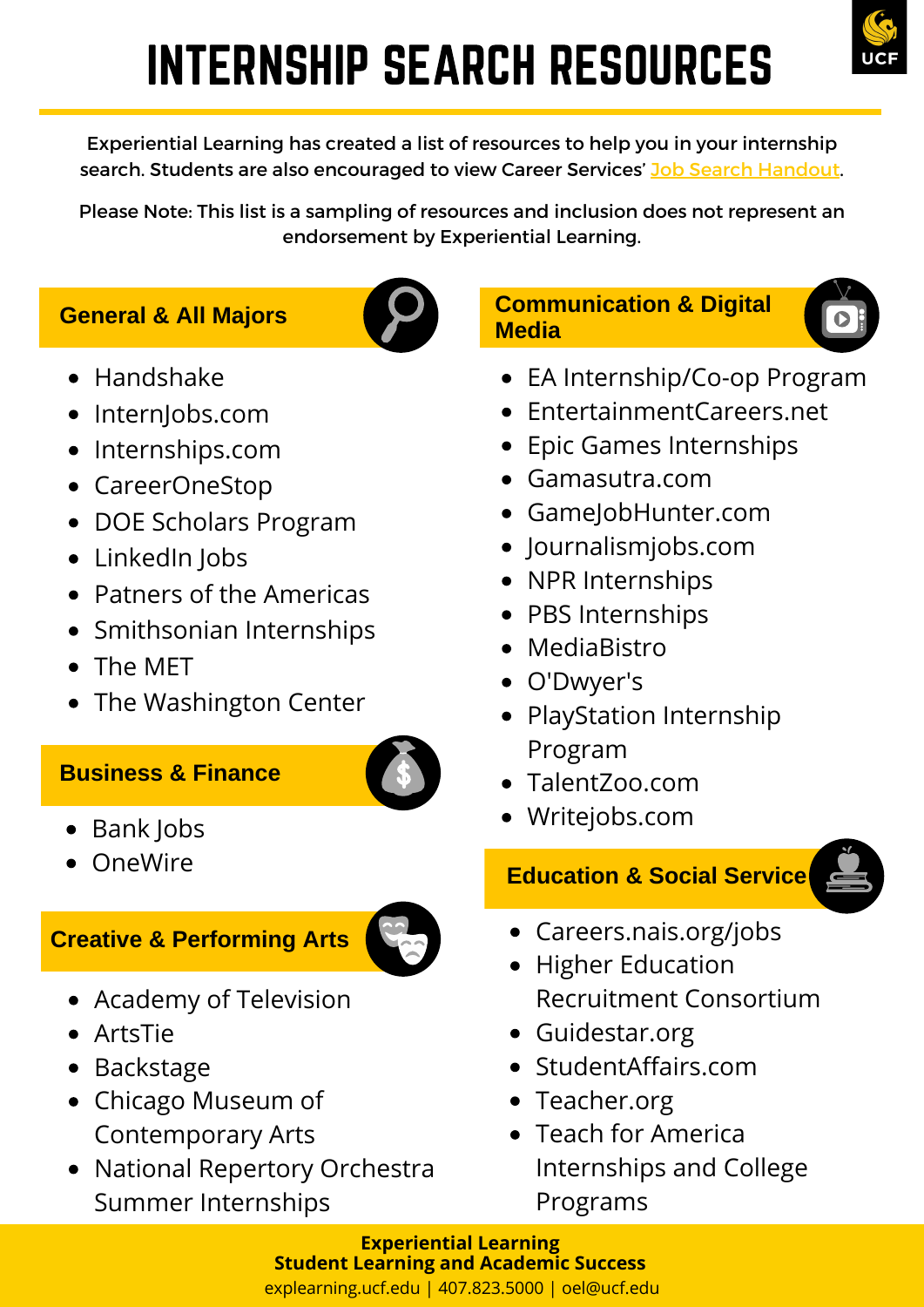# INTERNSHIP SEARCH RESOURCES

Experiential Learning has created a list of resources to help you in your internship search. Students are also encouraged to view Career Services' Job Search [Handout](https://career.ucf.edu/wp-content/uploads/sites/11/2018/04/Job-Search-Handout_4-12-18.pdf).

Please Note: This list is a sampling of resources and inclusion does not represent an endorsement by Experiential Learning.

#### **General & All Majors**



- Handshake
- InternJobs.com
- Internships.com
- CareerOneStop
- DOE Scholars Program
- LinkedIn Jobs
- Patners of the Americas
- Smithsonian Internships
- The MET
- The Washington Center

#### **Business & Finance**



- Bank Jobs
- OneWire

#### **Creative & Performing Arts**



- Academy of Television
- ArtsTie
- Backstage
- Chicago Museum of Contemporary Arts
- National Repertory Orchestra Summer Internships

#### **Communication & Digital Media**

- EA Internship/Co-op Program
- EntertainmentCareers.net
- Epic Games Internships
- Gamasutra.com
- GameJobHunter.com
- Journalismjobs.com
- NPR Internships
- PBS Internships
- MediaBistro
- O'Dwyer's
- PlayStation Internship Program
- TalentZoo.com
- Writejobs.com

#### **Education & Social Service**



- Careers.nais.org/jobs
- Higher Education Recruitment Consortium
- Guidestar.org
- StudentAffairs.com
- Teacher.org
- Teach for America Internships and College Programs

explearning.ucf.edu | 407.823.5000 | oel@ucf.edu **Experiential Learning Student Learning and Academic Success**

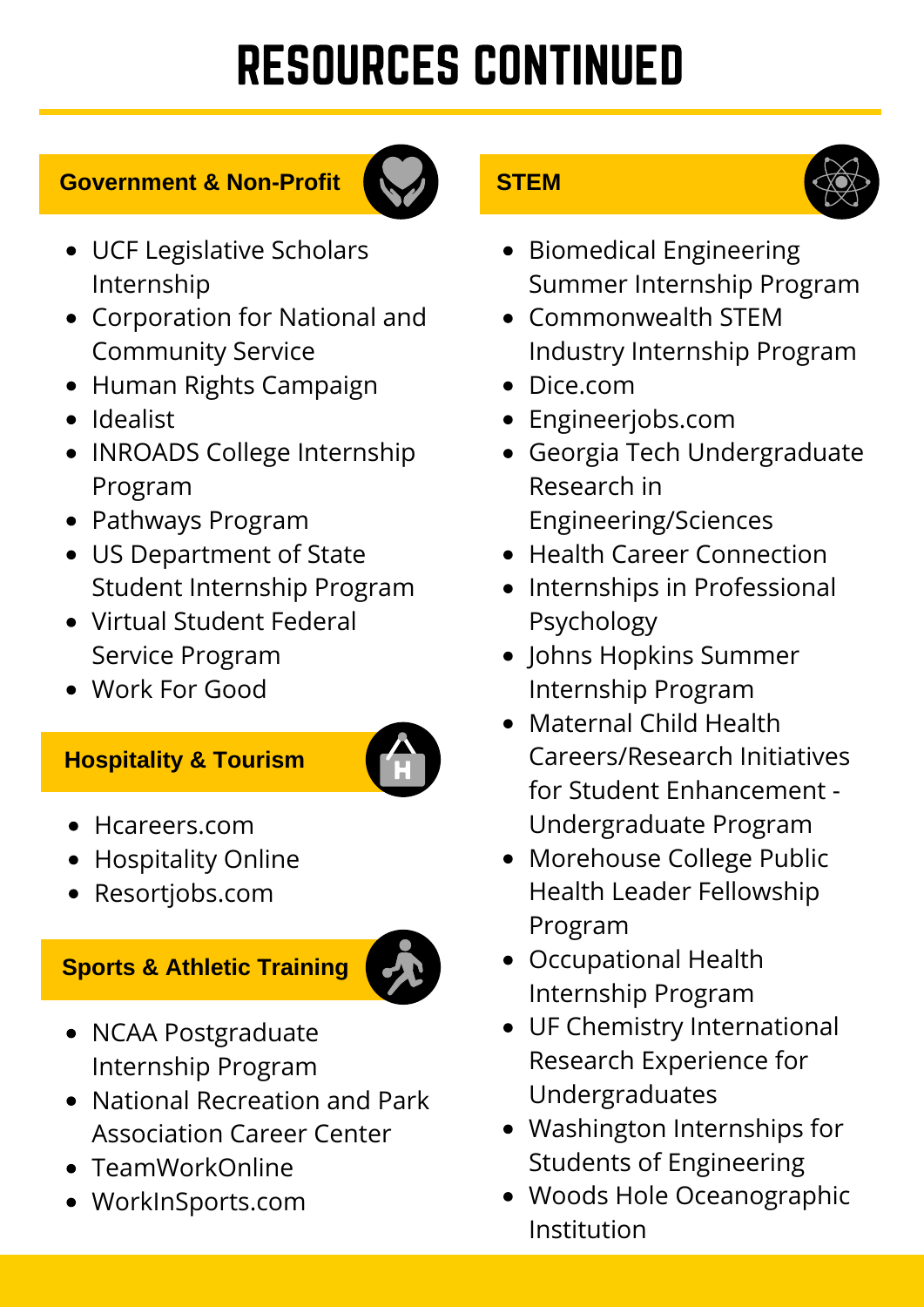# RESOURCES CONTINUED

#### **Government & Non-Profit**



- UCF Legislative Scholars Internship
- Corporation for National and Community Service
- Human Rights Campaign
- Idealist
- INROADS College Internship Program
- Pathways Program
- US Department of State Student Internship Program
- Virtual Student Federal Service Program
- Work For Good

### **Hospitality & Tourism**



- Hcareers.com
- Hospitality Online
- Resortjobs.com

# **Sports & Athletic Training**



- NCAA Postgraduate Internship Program
- National Recreation and Park Association Career Center
- TeamWorkOnline
- WorkInSports.com

## **STEM**



- Biomedical Engineering Summer Internship Program
- Commonwealth STEM Industry Internship Program
- Dice.com
- Engineerjobs.com
- Georgia Tech Undergraduate Research in Engineering/Sciences
- Health Career Connection
- Internships in Professional Psychology
- Johns Hopkins Summer Internship Program
- Maternal Child Health Careers/Research Initiatives for Student Enhancement - Undergraduate Program
- Morehouse College Public Health Leader Fellowship Program
- Occupational Health Internship Program
- UF Chemistry International Research Experience for Undergraduates
- Washington Internships for Students of Engineering
- Woods Hole Oceanographic Institution